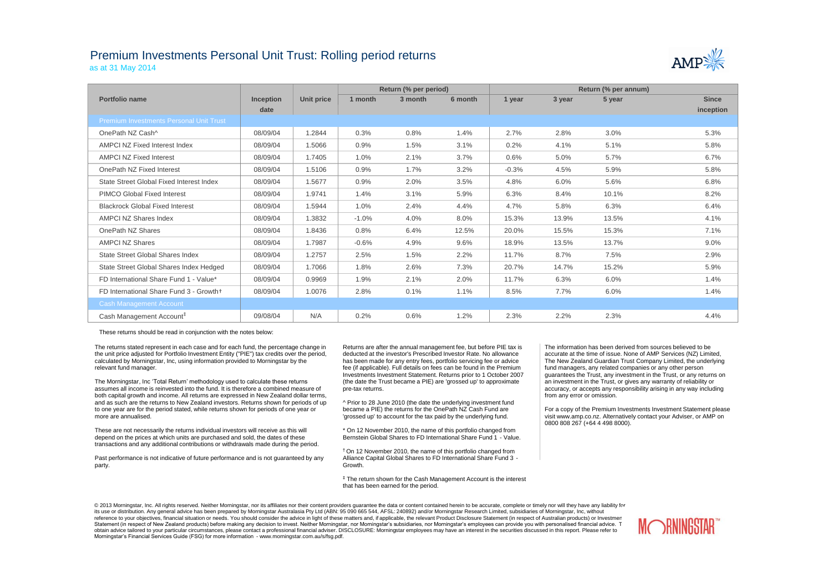## Premium Investments Personal Unit Trust: Rolling period returns as at 31 May 2014



|                                          |                  |            |         | Return (% per period) |         | Return (% per annum) |        |        |              |  |
|------------------------------------------|------------------|------------|---------|-----------------------|---------|----------------------|--------|--------|--------------|--|
| Portfolio name                           | <b>Inception</b> | Unit price | 1 month | 3 month               | 6 month | 1 year               | 3 year | 5 year | <b>Since</b> |  |
|                                          | date             |            |         |                       |         |                      |        |        | inception    |  |
| Premium Investments Personal Unit Trust  |                  |            |         |                       |         |                      |        |        |              |  |
| OnePath NZ Cash^                         | 08/09/04         | 1.2844     | 0.3%    | 0.8%                  | 1.4%    | 2.7%                 | 2.8%   | 3.0%   | 5.3%         |  |
| <b>AMPCI NZ Fixed Interest Index</b>     | 08/09/04         | 1.5066     | 0.9%    | 1.5%                  | 3.1%    | 0.2%                 | 4.1%   | 5.1%   | 5.8%         |  |
| <b>AMPCI NZ Fixed Interest</b>           | 08/09/04         | 1.7405     | 1.0%    | 2.1%                  | 3.7%    | 0.6%                 | 5.0%   | 5.7%   | 6.7%         |  |
| OnePath NZ Fixed Interest                | 08/09/04         | 1.5106     | 0.9%    | 1.7%                  | 3.2%    | $-0.3%$              | 4.5%   | 5.9%   | 5.8%         |  |
| State Street Global Fixed Interest Index | 08/09/04         | 1.5677     | 0.9%    | 2.0%                  | 3.5%    | 4.8%                 | 6.0%   | 5.6%   | 6.8%         |  |
| <b>PIMCO Global Fixed Interest</b>       | 08/09/04         | 1.9741     | 1.4%    | 3.1%                  | 5.9%    | 6.3%                 | 8.4%   | 10.1%  | 8.2%         |  |
| <b>Blackrock Global Fixed Interest</b>   | 08/09/04         | 1.5944     | 1.0%    | 2.4%                  | 4.4%    | 4.7%                 | 5.8%   | 6.3%   | 6.4%         |  |
| <b>AMPCI NZ Shares Index</b>             | 08/09/04         | 1.3832     | $-1.0%$ | 4.0%                  | 8.0%    | 15.3%                | 13.9%  | 13.5%  | 4.1%         |  |
| OnePath NZ Shares                        | 08/09/04         | 1.8436     | 0.8%    | 6.4%                  | 12.5%   | 20.0%                | 15.5%  | 15.3%  | 7.1%         |  |
| <b>AMPCI NZ Shares</b>                   | 08/09/04         | 1.7987     | $-0.6%$ | 4.9%                  | 9.6%    | 18.9%                | 13.5%  | 13.7%  | 9.0%         |  |
| <b>State Street Global Shares Index</b>  | 08/09/04         | 1.2757     | 2.5%    | 1.5%                  | 2.2%    | 11.7%                | 8.7%   | 7.5%   | 2.9%         |  |
| State Street Global Shares Index Hedged  | 08/09/04         | 1.7066     | 1.8%    | 2.6%                  | 7.3%    | 20.7%                | 14.7%  | 15.2%  | 5.9%         |  |
| FD International Share Fund 1 - Value*   | 08/09/04         | 0.9969     | 1.9%    | 2.1%                  | 2.0%    | 11.7%                | 6.3%   | 6.0%   | 1.4%         |  |
| FD International Share Fund 3 - Growth+  | 08/09/04         | 1.0076     | 2.8%    | 0.1%                  | 1.1%    | 8.5%                 | 7.7%   | 6.0%   | 1.4%         |  |
| <b>Cash Management Account</b>           |                  |            |         |                       |         |                      |        |        |              |  |
| Cash Management Account <sup>#</sup>     | 09/08/04         | N/A        | 0.2%    | 0.6%                  | 1.2%    | 2.3%                 | 2.2%   | 2.3%   | 4.4%         |  |

These returns should be read in conjunction with the notes below:

The returns stated represent in each case and for each fund, the percentage change in the unit price adjusted for Portfolio Investment Entity ("PIE") tax credits over the period, calculated by Morningstar, Inc, using information provided to Morningstar by the relevant fund manager.

The Morningstar, Inc 'Total Return' methodology used to calculate these returns assumes all income is reinvested into the fund. It is therefore a combined measure of both capital growth and income. All returns are expressed in New Zealand dollar terms, and as such are the returns to New Zealand investors. Returns shown for periods of up to one year are for the period stated, while returns shown for periods of one year or more are annualised.

These are not necessarily the returns individual investors will receive as this will depend on the prices at which units are purchased and sold, the dates of these transactions and any additional contributions or withdrawals made during the period.

Past performance is not indicative of future performance and is not guaranteed by any party.

Returns are after the annual management fee, but before PIE tax is deducted at the investor's Prescribed Investor Rate. No allowance has been made for any entry fees, portfolio servicing fee or advice fee (if applicable). Full details on fees can be found in the Premium Investments Investment Statement. Returns prior to 1 October 2007 (the date the Trust became a PIE) are 'grossed up' to approximate pre-tax returns.

^ Prior to 28 June 2010 (the date the underlying investment fund became a PIE) the returns for the OnePath NZ Cash Fund are 'grossed up' to account for the tax paid by the underlying fund.

\* On 12 November 2010, the name of this portfolio changed from Bernstein Global Shares to FD International Share Fund 1 - Value.

† On 12 November 2010, the name of this portfolio changed from Alliance Capital Global Shares to FD International Share Fund 3 - Growth.

‡ The return shown for the Cash Management Account is the interest that has been earned for the period.

The information has been derived from sources believed to be accurate at the time of issue. None of AMP Services (NZ) Limited, The New Zealand Guardian Trust Company Limited, the underlying fund managers, any related companies or any other person guarantees the Trust, any investment in the Trust, or any returns on an investment in the Trust, or gives any warranty of reliability or accuracy, or accepts any responsibility arising in any way including from any error or omission.

For a copy of the Premium Investments Investment Statement please visit www.amp.co.nz. Alternatively contact your Adviser, or AMP on 0800 808 267 (+64 4 498 8000).

© 2013 Morningstar, Inc. All rights reserved. Neither Morningstar, nor its affiliates nor their content providers quarantee the data or content contained herein to be accurate, complete or timely nor will they have any lia its use or distribution. Any general advice has been prepared by Morningstar Australasia Pty Ltd (ABN: 95 090 665 544, AFSL: 240892) and/or Morningstar Research Limited, subsidiaries of Morningstar, Inc, without reference to your objectives, financial situation or needs. You should consider the advice in light of these matters and, if applicable, the relevant Product Disclosure Statement (in respect of Australian products) or Inve Statement (in respect of New Zealand products) before making any decision to invest. Neither Morningstar, nor Morningstar's subsidiaries, nor Morningstar's employees can provide you with personalised financial advice. T obtain advice tailored to your particular circumstances, please contact a professional financial adviser. DISCLOSURE: Morningstar employees may have an interest in the securities discussed in this report. Please refer to Morningstar's Financial Services Guide (FSG) for more information - www.morningstar.com.au/s/fsg.pdf.